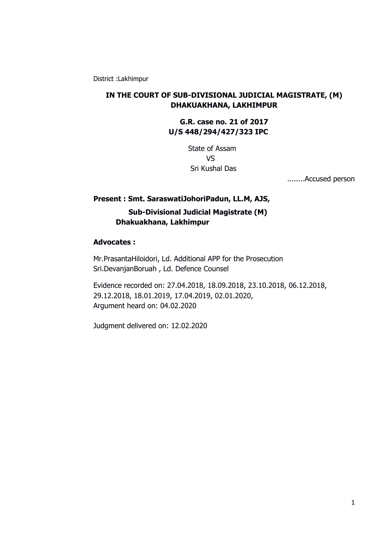District :Lakhimpur

## **IN THE COURT OF SUB-DIVISIONAL JUDICIAL MAGISTRATE, (M) DHAKUAKHANA, LAKHIMPUR**

**G.R. case no. 21 of 2017 U/S 448/294/427/323 IPC** 

> State of Assam VS Sri Kushal Das

> > ........Accused person

# **Present : Smt. SaraswatiJohoriPadun, LL.M, AJS, Sub-Divisional Judicial Magistrate (M) Dhakuakhana, Lakhimpur**

## **Advocates :**

Mr.PrasantaHiloidori, Ld. Additional APP for the Prosecution Sri.DevanjanBoruah , Ld. Defence Counsel

Evidence recorded on: 27.04.2018, 18.09.2018, 23.10.2018, 06.12.2018, 29.12.2018, 18.01.2019, 17.04.2019, 02.01.2020, Argument heard on: 04.02.2020

Judgment delivered on: 12.02.2020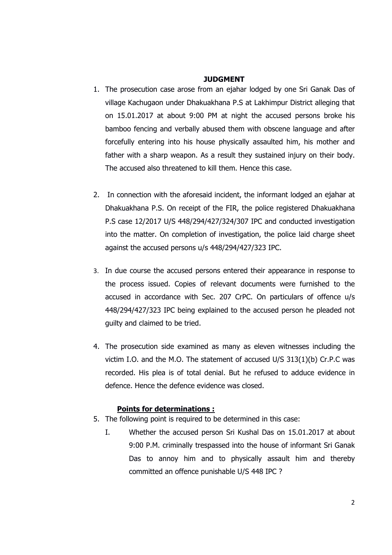#### **JUDGMENT**

- 1. The prosecution case arose from an ejahar lodged by one Sri Ganak Das of village Kachugaon under Dhakuakhana P.S at Lakhimpur District alleging that on 15.01.2017 at about 9:00 PM at night the accused persons broke his bamboo fencing and verbally abused them with obscene language and after forcefully entering into his house physically assaulted him, his mother and father with a sharp weapon. As a result they sustained injury on their body. The accused also threatened to kill them. Hence this case.
- 2. In connection with the aforesaid incident, the informant lodged an ejahar at Dhakuakhana P.S. On receipt of the FIR, the police registered Dhakuakhana P.S case 12/2017 U/S 448/294/427/324/307 IPC and conducted investigation into the matter. On completion of investigation, the police laid charge sheet against the accused persons u/s 448/294/427/323 IPC.
- 3. In due course the accused persons entered their appearance in response to the process issued. Copies of relevant documents were furnished to the accused in accordance with Sec. 207 CrPC. On particulars of offence u/s 448/294/427/323 IPC being explained to the accused person he pleaded not guilty and claimed to be tried.
- 4. The prosecution side examined as many as eleven witnesses including the victim I.O. and the M.O. The statement of accused U/S 313(1)(b) Cr.P.C was recorded. His plea is of total denial. But he refused to adduce evidence in defence. Hence the defence evidence was closed.

## **Points for determinations :**

- 5. The following point is required to be determined in this case:
	- I. Whether the accused person Sri Kushal Das on 15.01.2017 at about 9:00 P.M. criminally trespassed into the house of informant Sri Ganak Das to annoy him and to physically assault him and thereby committed an offence punishable U/S 448 IPC ?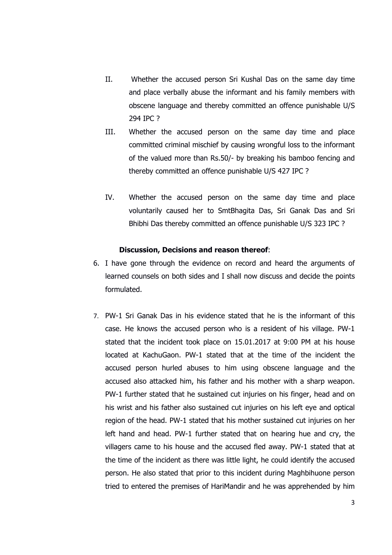- II. Whether the accused person Sri Kushal Das on the same day time and place verbally abuse the informant and his family members with obscene language and thereby committed an offence punishable U/S 294 IPC ?
- III. Whether the accused person on the same day time and place committed criminal mischief by causing wrongful loss to the informant of the valued more than Rs.50/- by breaking his bamboo fencing and thereby committed an offence punishable U/S 427 IPC ?
- Bhibhi Das thereby committed an offence punishable U/S 323 IPC ? IV. Whether the accused person on the same day time and place voluntarily caused her to SmtBhagita Das, Sri Ganak Das and Sri

#### **Discussion, Decisions and reason thereof**:

- 6. I have gone through the evidence on record and heard the arguments of learned counsels on both sides and I shall now discuss and decide the points formulated.
- 7. PW-1 Sri Ganak Das in his evidence stated that he is the informant of this case. He knows the accused person who is a resident of his village. PW-1 stated that the incident took place on 15.01.2017 at 9:00 PM at his house located at KachuGaon. PW-1 stated that at the time of the incident the accused person hurled abuses to him using obscene language and the accused also attacked him, his father and his mother with a sharp weapon. PW-1 further stated that he sustained cut injuries on his finger, head and on his wrist and his father also sustained cut injuries on his left eye and optical region of the head. PW-1 stated that his mother sustained cut injuries on her left hand and head. PW-1 further stated that on hearing hue and cry, the villagers came to his house and the accused fled away. PW-1 stated that at the time of the incident as there was little light, he could identify the accused person. He also stated that prior to this incident during Maghbihuone person tried to entered the premises of HariMandir and he was apprehended by him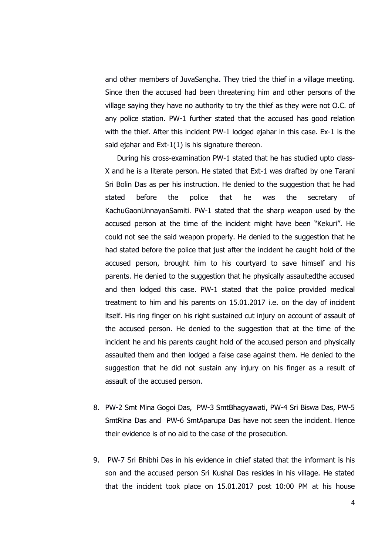and other members of JuvaSangha. They tried the thief in a village meeting. Since then the accused had been threatening him and other persons of the village saying they have no authority to try the thief as they were not O.C. of any police station. PW-1 further stated that the accused has good relation with the thief. After this incident PW-1 lodged ejahar in this case. Ex-1 is the said ejahar and Ext-1(1) is his signature thereon.

During his cross-examination PW-1 stated that he has studied upto class-X and he is a literate person. He stated that Ext-1 was drafted by one Tarani Sri Bolin Das as per his instruction. He denied to the suggestion that he had stated before the police that he was the secretary of KachuGaonUnnayanSamiti. PW-1 stated that the sharp weapon used by the accused person at the time of the incident might have been "Kekuri". He could not see the said weapon properly. He denied to the suggestion that he had stated before the police that just after the incident he caught hold of the accused person, brought him to his courtyard to save himself and his parents. He denied to the suggestion that he physically assaultedthe accused and then lodged this case. PW-1 stated that the police provided medical treatment to him and his parents on 15.01.2017 i.e. on the day of incident itself. His ring finger on his right sustained cut injury on account of assault of the accused person. He denied to the suggestion that at the time of the incident he and his parents caught hold of the accused person and physically assaulted them and then lodged a false case against them. He denied to the suggestion that he did not sustain any injury on his finger as a result of assault of the accused person.

- 8. PW-2 Smt Mina Gogoi Das, PW-3 SmtBhagyawati, PW-4 Sri Biswa Das, PW-5 SmtRina Das and PW-6 SmtAparupa Das have not seen the incident. Hence their evidence is of no aid to the case of the prosecution.
- 9. PW-7 Sri Bhibhi Das in his evidence in chief stated that the informant is his son and the accused person Sri Kushal Das resides in his village. He stated that the incident took place on 15.01.2017 post 10:00 PM at his house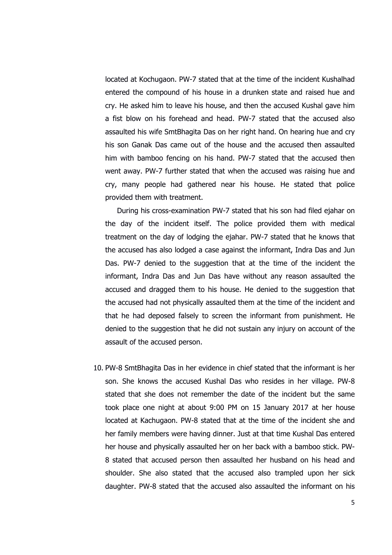located at Kochugaon. PW-7 stated that at the time of the incident Kushalhad entered the compound of his house in a drunken state and raised hue and cry. He asked him to leave his house, and then the accused Kushal gave him a fist blow on his forehead and head. PW-7 stated that the accused also assaulted his wife SmtBhagita Das on her right hand. On hearing hue and cry his son Ganak Das came out of the house and the accused then assaulted him with bamboo fencing on his hand. PW-7 stated that the accused then went away. PW-7 further stated that when the accused was raising hue and cry, many people had gathered near his house. He stated that police provided them with treatment.

During his cross-examination PW-7 stated that his son had filed ejahar on the day of the incident itself. The police provided them with medical treatment on the day of lodging the ejahar. PW-7 stated that he knows that the accused has also lodged a case against the informant, Indra Das and Jun Das. PW-7 denied to the suggestion that at the time of the incident the informant, Indra Das and Jun Das have without any reason assaulted the accused and dragged them to his house. He denied to the suggestion that the accused had not physically assaulted them at the time of the incident and that he had deposed falsely to screen the informant from punishment. He denied to the suggestion that he did not sustain any injury on account of the assault of the accused person.

10. PW-8 SmtBhagita Das in her evidence in chief stated that the informant is her son. She knows the accused Kushal Das who resides in her village. PW-8 stated that she does not remember the date of the incident but the same took place one night at about 9:00 PM on 15 January 2017 at her house located at Kachugaon. PW-8 stated that at the time of the incident she and her family members were having dinner. Just at that time Kushal Das entered her house and physically assaulted her on her back with a bamboo stick. PW-8 stated that accused person then assaulted her husband on his head and shoulder. She also stated that the accused also trampled upon her sick daughter. PW-8 stated that the accused also assaulted the informant on his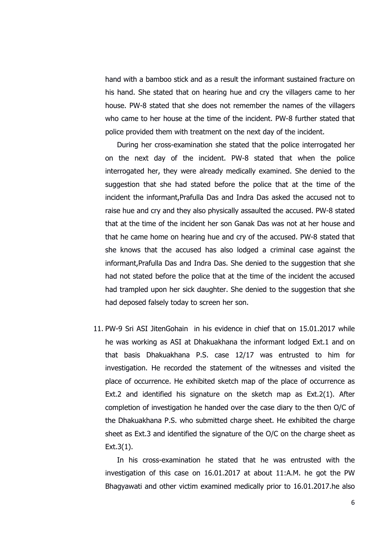hand with a bamboo stick and as a result the informant sustained fracture on his hand. She stated that on hearing hue and cry the villagers came to her house. PW-8 stated that she does not remember the names of the villagers who came to her house at the time of the incident. PW-8 further stated that police provided them with treatment on the next day of the incident.

During her cross-examination she stated that the police interrogated her on the next day of the incident. PW-8 stated that when the police interrogated her, they were already medically examined. She denied to the suggestion that she had stated before the police that at the time of the incident the informant,Prafulla Das and Indra Das asked the accused not to raise hue and cry and they also physically assaulted the accused. PW-8 stated that at the time of the incident her son Ganak Das was not at her house and that he came home on hearing hue and cry of the accused. PW-8 stated that she knows that the accused has also lodged a criminal case against the informant,Prafulla Das and Indra Das. She denied to the suggestion that she had not stated before the police that at the time of the incident the accused had trampled upon her sick daughter. She denied to the suggestion that she had deposed falsely today to screen her son.

11. PW-9 Sri ASI JitenGohain in his evidence in chief that on 15.01.2017 while he was working as ASI at Dhakuakhana the informant lodged Ext.1 and on that basis Dhakuakhana P.S. case 12/17 was entrusted to him for investigation. He recorded the statement of the witnesses and visited the place of occurrence. He exhibited sketch map of the place of occurrence as Ext.2 and identified his signature on the sketch map as Ext.2(1). After completion of investigation he handed over the case diary to the then O/C of the Dhakuakhana P.S. who submitted charge sheet. He exhibited the charge sheet as Ext.3 and identified the signature of the O/C on the charge sheet as Ext.3(1).

In his cross-examination he stated that he was entrusted with the investigation of this case on 16.01.2017 at about 11:A.M. he got the PW Bhagyawati and other victim examined medically prior to 16.01.2017.he also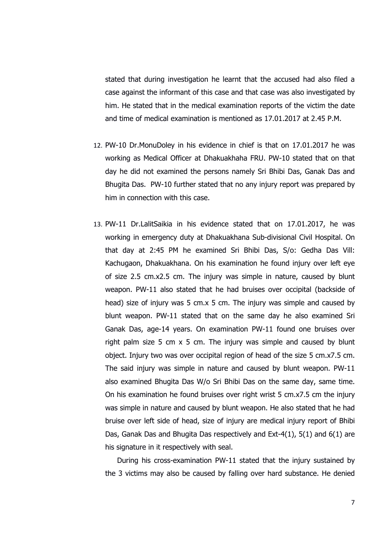stated that during investigation he learnt that the accused had also filed a case against the informant of this case and that case was also investigated by him. He stated that in the medical examination reports of the victim the date and time of medical examination is mentioned as 17.01.2017 at 2.45 P.M.

- 12. PW-10 Dr.MonuDoley in his evidence in chief is that on 17.01.2017 he was working as Medical Officer at Dhakuakhaha FRU. PW-10 stated that on that day he did not examined the persons namely Sri Bhibi Das, Ganak Das and Bhugita Das. PW-10 further stated that no any injury report was prepared by him in connection with this case.
- 13. PW-11 Dr.LalitSaikia in his evidence stated that on 17.01.2017, he was working in emergency duty at Dhakuakhana Sub-divisional Civil Hospital. On that day at 2:45 PM he examined Sri Bhibi Das, S/o: Gedha Das Vill: Kachugaon, Dhakuakhana. On his examination he found injury over left eye of size 2.5 cm.x2.5 cm. The injury was simple in nature, caused by blunt weapon. PW-11 also stated that he had bruises over occipital (backside of head) size of injury was 5 cm.x 5 cm. The injury was simple and caused by blunt weapon. PW-11 stated that on the same day he also examined Sri Ganak Das, age-14 years. On examination PW-11 found one bruises over right palm size 5 cm x 5 cm. The injury was simple and caused by blunt object. Injury two was over occipital region of head of the size 5 cm.x7.5 cm. The said injury was simple in nature and caused by blunt weapon. PW-11 also examined Bhugita Das W/o Sri Bhibi Das on the same day, same time. On his examination he found bruises over right wrist 5 cm.x7.5 cm the injury was simple in nature and caused by blunt weapon. He also stated that he had bruise over left side of head, size of injury are medical injury report of Bhibi Das, Ganak Das and Bhugita Das respectively and Ext-4(1), 5(1) and 6(1) are his signature in it respectively with seal.

During his cross-examination PW-11 stated that the injury sustained by the 3 victims may also be caused by falling over hard substance. He denied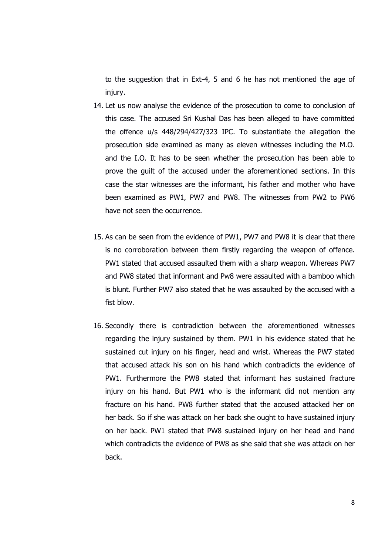to the suggestion that in Ext-4, 5 and 6 he has not mentioned the age of injury.

- 14. Let us now analyse the evidence of the prosecution to come to conclusion of this case. The accused Sri Kushal Das has been alleged to have committed the offence u/s 448/294/427/323 IPC. To substantiate the allegation the prosecution side examined as many as eleven witnesses including the M.O. and the I.O. It has to be seen whether the prosecution has been able to prove the guilt of the accused under the aforementioned sections. In this case the star witnesses are the informant, his father and mother who have been examined as PW1, PW7 and PW8. The witnesses from PW2 to PW6 have not seen the occurrence.
- 15. As can be seen from the evidence of PW1, PW7 and PW8 it is clear that there is no corroboration between them firstly regarding the weapon of offence. PW1 stated that accused assaulted them with a sharp weapon. Whereas PW7 and PW8 stated that informant and Pw8 were assaulted with a bamboo which is blunt. Further PW7 also stated that he was assaulted by the accused with a fist blow.
- 16. Secondly there is contradiction between the aforementioned witnesses regarding the injury sustained by them. PW1 in his evidence stated that he sustained cut injury on his finger, head and wrist. Whereas the PW7 stated that accused attack his son on his hand which contradicts the evidence of PW1. Furthermore the PW8 stated that informant has sustained fracture injury on his hand. But PW1 who is the informant did not mention any fracture on his hand. PW8 further stated that the accused attacked her on her back. So if she was attack on her back she ought to have sustained injury on her back. PW1 stated that PW8 sustained injury on her head and hand which contradicts the evidence of PW8 as she said that she was attack on her back.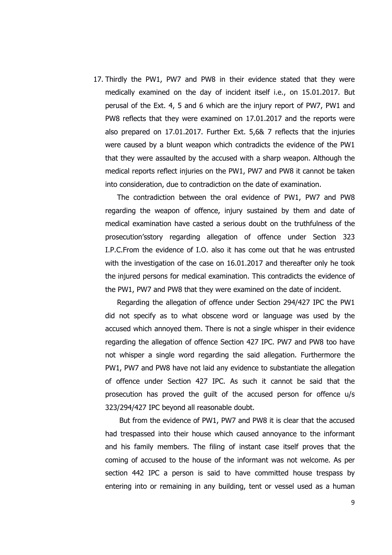17. Thirdly the PW1, PW7 and PW8 in their evidence stated that they were medically examined on the day of incident itself i.e., on 15.01.2017. But perusal of the Ext. 4, 5 and 6 which are the injury report of PW7, PW1 and PW8 reflects that they were examined on 17.01.2017 and the reports were also prepared on 17.01.2017. Further Ext. 5,6& 7 reflects that the injuries were caused by a blunt weapon which contradicts the evidence of the PW1 that they were assaulted by the accused with a sharp weapon. Although the medical reports reflect injuries on the PW1, PW7 and PW8 it cannot be taken into consideration, due to contradiction on the date of examination.

The contradiction between the oral evidence of PW1, PW7 and PW8 regarding the weapon of offence, injury sustained by them and date of medical examination have casted a serious doubt on the truthfulness of the prosecution'sstory regarding allegation of offence under Section 323 I.P.C.From the evidence of I.O. also it has come out that he was entrusted with the investigation of the case on 16.01.2017 and thereafter only he took the injured persons for medical examination. This contradicts the evidence of the PW1, PW7 and PW8 that they were examined on the date of incident.

Regarding the allegation of offence under Section 294/427 IPC the PW1 did not specify as to what obscene word or language was used by the accused which annoyed them. There is not a single whisper in their evidence regarding the allegation of offence Section 427 IPC. PW7 and PW8 too have not whisper a single word regarding the said allegation. Furthermore the PW1, PW7 and PW8 have not laid any evidence to substantiate the allegation of offence under Section 427 IPC. As such it cannot be said that the prosecution has proved the guilt of the accused person for offence u/s 323/294/427 IPC beyond all reasonable doubt.

 But from the evidence of PW1, PW7 and PW8 it is clear that the accused had trespassed into their house which caused annoyance to the informant and his family members. The filing of instant case itself proves that the coming of accused to the house of the informant was not welcome. As per section 442 IPC a person is said to have committed house trespass by entering into or remaining in any building, tent or vessel used as a human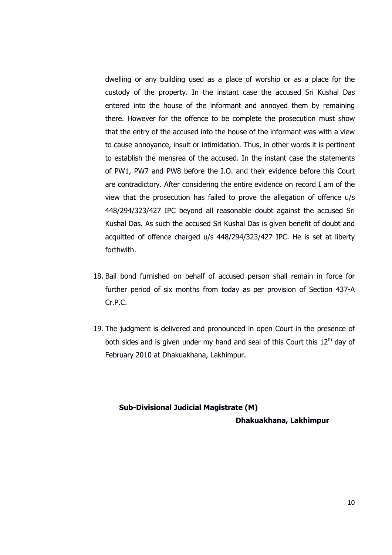dwelling or any building used as a place of worship or as a place for the custody of the property. In the instant case the accused Sri Kushal Das entered into the house of the informant and annoyed them by remaining there. However for the offence to be complete the prosecution must show that the entry of the accused into the house of the informant was with a view to cause annoyance, insult or intimidation. Thus, in other words it is pertinent to establish the mensrea of the accused. In the instant case the statements of PW1, PW7 and PW8 before the I.O. and their evidence before this Court are contradictory. After considering the entire evidence on record I am of the view that the prosecution has failed to prove the allegation of offence u/s 448/294/323/427 IPC beyond all reasonable doubt against the accused Sri Kushal Das. As such the accused Sri Kushal Das is given benefit of doubt and acquitted of offence charged u/s 448/294/323/427 IPC. He is set at liberty forthwith.

- 18. Bail bond furnished on behalf of accused person shall remain in force for further period of six months from today as per provision of Section 437-A Cr.P.C.
- 19. The judgment is delivered and pronounced in open Court in the presence of both sides and is given under my hand and seal of this Court this  $12<sup>th</sup>$  dav of February 2010 at Dhakuakhana, Lakhimpur.

# **Sub-Divisional Judicial Magistrate (M) Dhakuakhana, Lakhimpur**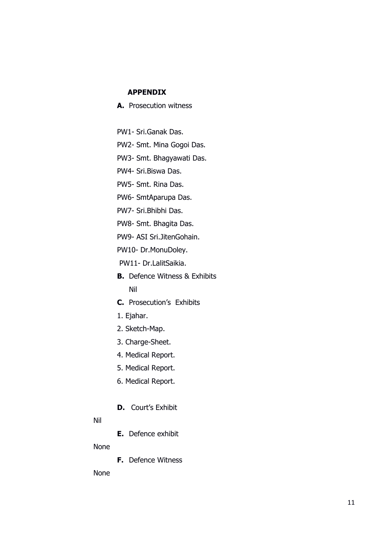## **APPENDIX**

- **A.** Prosecution witness
- PW1- Sri.Ganak Das.
- PW2- Smt. Mina Gogoi Das.
- PW3- Smt. Bhagyawati Das.
- PW4- Sri.Biswa Das.
- PW5- Smt. Rina Das.
- PW6- SmtAparupa Das.
- PW7- Sri.Bhibhi Das.
- PW8- Smt. Bhagita Das.
- PW9- ASI Sri.JitenGohain.
- PW10- Dr.MonuDoley.
- PW11- Dr.LalitSaikia.
- **B.** Defence Witness & Exhibits Nil
- **C.** Prosecution's Exhibits
- 1. Ejahar.
- 2. Sketch-Map.
- 3. Charge-Sheet.
- 4. Medical Report.
- 5. Medical Report.
- 6. Medical Report.
- **D.** Court's Exhibit

### Nil

**E.** Defence exhibit

### None

**F.** Defence Witness

None